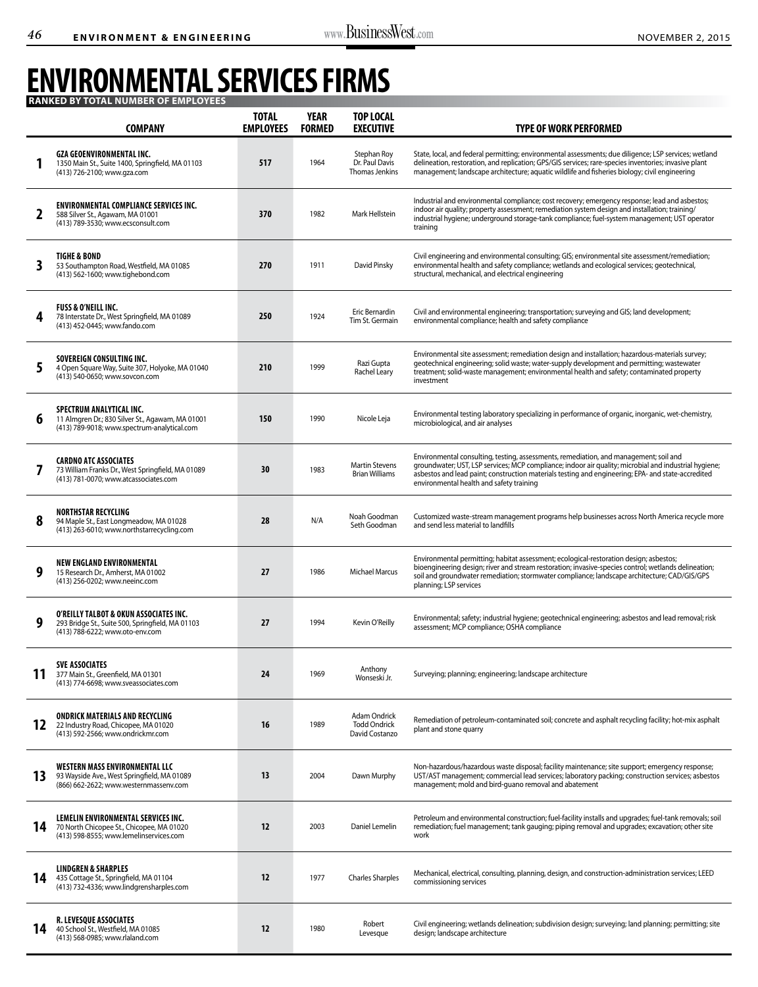## **Environmental services Firms Ranked by total number of employees**

|    | <b>COMPANY</b>                                                                                                                     | <b>TOTAL</b><br><b>EMPLOYEES</b> | <b>YEAR</b><br><b>FORMED</b> | <b>TOP LOCAL</b><br><b>EXECUTIVE</b>                         | <b>TYPE OF WORK PERFORMED</b>                                                                                                                                                                                                                                                                                                                    |
|----|------------------------------------------------------------------------------------------------------------------------------------|----------------------------------|------------------------------|--------------------------------------------------------------|--------------------------------------------------------------------------------------------------------------------------------------------------------------------------------------------------------------------------------------------------------------------------------------------------------------------------------------------------|
|    | <b>GZA GEOENVIRONMENTAL INC.</b><br>1350 Main St., Suite 1400, Springfield, MA 01103<br>(413) 726-2100; www.qza.com                | 517                              | 1964                         | Stephan Roy<br>Dr. Paul Davis<br>Thomas Jenkins              | State, local, and federal permitting; environmental assessments; due diligence; LSP services; wetland<br>delineation, restoration, and replication; GPS/GIS services; rare-species inventories; invasive plant<br>management; landscape architecture; aquatic wildlife and fisheries biology; civil engineering                                  |
| 2  | <b>ENVIRONMENTAL COMPLIANCE SERVICES INC.</b><br>588 Silver St., Agawam, MA 01001<br>(413) 789-3530; www.ecsconsult.com            | 370                              | 1982                         | Mark Hellstein                                               | Industrial and environmental compliance; cost recovery; emergency response; lead and asbestos;<br>indoor air quality; property assessment; remediation system design and installation; training/<br>industrial hygiene; underground storage-tank compliance; fuel-system management; UST operator<br>training                                    |
| 3  | TIGHE & BOND<br>53 Southampton Road, Westfield, MA 01085<br>(413) 562-1600; www.tighebond.com                                      | 270                              | 1911                         | David Pinsky                                                 | Civil engineering and environmental consulting; GIS; environmental site assessment/remediation;<br>environmental health and safety compliance; wetlands and ecological services; geotechnical,<br>structural, mechanical, and electrical engineering                                                                                             |
| 4  | <b>FUSS &amp; O'NEILL INC.</b><br>78 Interstate Dr., West Springfield, MA 01089<br>(413) 452-0445; www.fando.com                   | 250                              | 1924                         | Eric Bernardin<br>Tim St. Germain                            | Civil and environmental engineering; transportation; surveying and GIS; land development;<br>environmental compliance; health and safety compliance                                                                                                                                                                                              |
| 5  | SOVEREIGN CONSULTING INC.<br>4 Open Square Way, Suite 307, Holyoke, MA 01040<br>(413) 540-0650; www.sovcon.com                     | 210                              | 1999                         | Razi Gupta<br><b>Rachel Leary</b>                            | Environmental site assessment; remediation design and installation; hazardous-materials survey;<br>geotechnical engineering; solid waste; water-supply development and permitting; wastewater<br>treatment; solid-waste management; environmental health and safety; contaminated property<br>investment                                         |
| 6  | <b>SPECTRUM ANALYTICAL INC.</b><br>11 Almgren Dr.; 830 Silver St., Agawam, MA 01001<br>(413) 789-9018; www.spectrum-analytical.com | 150                              | 1990                         | Nicole Leja                                                  | Environmental testing laboratory specializing in performance of organic, inorganic, wet-chemistry,<br>microbiological, and air analyses                                                                                                                                                                                                          |
|    | <b>CARDNO ATC ASSOCIATES</b><br>73 William Franks Dr., West Springfield, MA 01089<br>(413) 781-0070; www.atcassociates.com         | 30                               | 1983                         | <b>Martin Stevens</b><br><b>Brian Williams</b>               | Environmental consulting, testing, assessments, remediation, and management; soil and<br>groundwater; UST, LSP services; MCP compliance; indoor air quality; microbial and industrial hygiene;<br>asbestos and lead paint; construction materials testing and engineering; EPA- and state-accredited<br>environmental health and safety training |
| 8  | <b>NORTHSTAR RECYCLING</b><br>94 Maple St., East Longmeadow, MA 01028<br>(413) 263-6010; www.northstarrecycling.com                | 28                               | N/A                          | Noah Goodman<br>Seth Goodman                                 | Customized waste-stream management programs help businesses across North America recycle more<br>and send less material to landfills                                                                                                                                                                                                             |
| 9  | <b>NEW ENGLAND ENVIRONMENTAL</b><br>15 Research Dr., Amherst, MA 01002<br>(413) 256-0202; www.neeinc.com                           | 27                               | 1986                         | <b>Michael Marcus</b>                                        | Environmental permitting; habitat assessment; ecological-restoration design; asbestos;<br>bioengineering design; river and stream restoration; invasive-species control; wetlands delineation;<br>soil and groundwater remediation; stormwater compliance; landscape architecture; CAD/GIS/GPS<br>planning; LSP services                         |
| 9  | O'REILLY TALBOT & OKUN ASSOCIATES INC.<br>293 Bridge St., Suite 500, Springfield, MA 01103<br>(413) 788-6222; www.oto-env.com      | 27                               | 1994                         | Kevin O'Reilly                                               | Environmental; safety; industrial hygiene; geotechnical engineering; asbestos and lead removal; risk<br>assessment; MCP compliance; OSHA compliance                                                                                                                                                                                              |
| 11 | <b>SVE ASSOCIATES</b><br>377 Main St., Greenfield, MA 01301<br>(413) 774-6698; www.sveassociates.com                               | 24                               | 1969                         | Anthony<br>Wonseski Jr.                                      | Surveying; planning; engineering; landscape architecture                                                                                                                                                                                                                                                                                         |
| 12 | <b>ONDRICK MATERIALS AND RECYCLING</b><br>22 Industry Road, Chicopee, MA 01020<br>(413) 592-2566; www.ondrickmr.com                | <b>16</b>                        | 1989                         | <b>Adam Ondrick</b><br><b>Todd Ondrick</b><br>David Costanzo | Remediation of petroleum-contaminated soil; concrete and asphalt recycling facility; hot-mix asphalt<br>plant and stone quarry                                                                                                                                                                                                                   |
| 13 | WESTERN MASS ENVIRONMENTAL LLC<br>93 Wayside Ave., West Springfield, MA 01089<br>(866) 662-2622; www.westernmassenv.com            | 13                               | 2004                         | Dawn Murphy                                                  | Non-hazardous/hazardous waste disposal; facility maintenance; site support; emergency response;<br>UST/AST management; commercial lead services; laboratory packing; construction services; asbestos<br>management; mold and bird-guano removal and abatement                                                                                    |
| 14 | LEMELIN ENVIRONMENTAL SERVICES INC.<br>70 North Chicopee St., Chicopee, MA 01020<br>(413) 598-8555; www.lemelinservices.com        | 12                               | 2003                         | Daniel Lemelin                                               | Petroleum and environmental construction; fuel-facility installs and upgrades; fuel-tank removals; soil<br>remediation; fuel management; tank gauging; piping removal and upgrades; excavation; other site<br>work                                                                                                                               |
| 14 | <b>LINDGREN &amp; SHARPLES</b><br>435 Cottage St., Springfield, MA 01104<br>(413) 732-4336; www.lindgrensharples.com               | 12                               | 1977                         | <b>Charles Sharples</b>                                      | Mechanical, electrical, consulting, planning, design, and construction-administration services; LEED<br>commissioning services                                                                                                                                                                                                                   |
| 14 | <b>R. LEVESOUE ASSOCIATES</b><br>40 School St., Westfield, MA 01085<br>(413) 568-0985; www.rlaland.com                             | 12                               | 1980                         | Robert<br>Levesque                                           | Civil engineering; wetlands delineation; subdivision design; surveying; land planning; permitting; site<br>design; landscape architecture                                                                                                                                                                                                        |